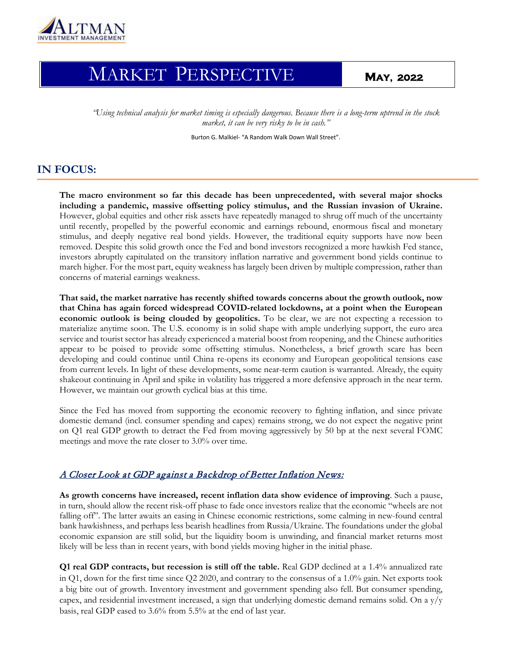

# … MARKET PERSPECTIVE **MAY, 2022**

*"Using technical analysis for market timing is especially dangerous. Because there is a long-term uptrend in the stock market, it can be very risky to be in cash."* 

Burton G. Malkiel- "A Random Walk Down Wall Street".

## **IN FOCUS:**

**The macro environment so far this decade has been unprecedented, with several major shocks including a pandemic, massive offsetting policy stimulus, and the Russian invasion of Ukraine.** However, global equities and other risk assets have repeatedly managed to shrug off much of the uncertainty until recently, propelled by the powerful economic and earnings rebound, enormous fiscal and monetary stimulus, and deeply negative real bond yields. However, the traditional equity supports have now been removed. Despite this solid growth once the Fed and bond investors recognized a more hawkish Fed stance, investors abruptly capitulated on the transitory inflation narrative and government bond yields continue to march higher. For the most part, equity weakness has largely been driven by multiple compression, rather than concerns of material earnings weakness.

**That said, the market narrative has recently shifted towards concerns about the growth outlook, now that China has again forced widespread COVID-related lockdowns, at a point when the European economic outlook is being clouded by geopolitics.** To be clear, we are not expecting a recession to materialize anytime soon. The U.S. economy is in solid shape with ample underlying support, the euro area service and tourist sector has already experienced a material boost from reopening, and the Chinese authorities appear to be poised to provide some offsetting stimulus. Nonetheless, a brief growth scare has been developing and could continue until China re-opens its economy and European geopolitical tensions ease from current levels. In light of these developments, some near-term caution is warranted. Already, the equity shakeout continuing in April and spike in volatility has triggered a more defensive approach in the near term. However, we maintain our growth cyclical bias at this time.

Since the Fed has moved from supporting the economic recovery to fighting inflation, and since private domestic demand (incl. consumer spending and capex) remains strong, we do not expect the negative print on Q1 real GDP growth to detract the Fed from moving aggressively by 50 bp at the next several FOMC meetings and move the rate closer to 3.0% over time.

#### A Closer Look at GDP against a Backdrop of Better Inflation News:

**As growth concerns have increased, recent inflation data show evidence of improving**. Such a pause, in turn, should allow the recent risk-off phase to fade once investors realize that the economic "wheels are not falling off". The latter awaits an easing in Chinese economic restrictions, some calming in new-found central bank hawkishness, and perhaps less bearish headlines from Russia/Ukraine. The foundations under the global economic expansion are still solid, but the liquidity boom is unwinding, and financial market returns most likely will be less than in recent years, with bond yields moving higher in the initial phase.

**Q1 real GDP contracts, but recession is still off the table.** Real GDP declined at a 1.4% annualized rate in Q1, down for the first time since Q2 2020, and contrary to the consensus of a 1.0% gain. Net exports took a big bite out of growth. Inventory investment and government spending also fell. But consumer spending, capex, and residential investment increased, a sign that underlying domestic demand remains solid. On a y/y basis, real GDP eased to 3.6% from 5.5% at the end of last year.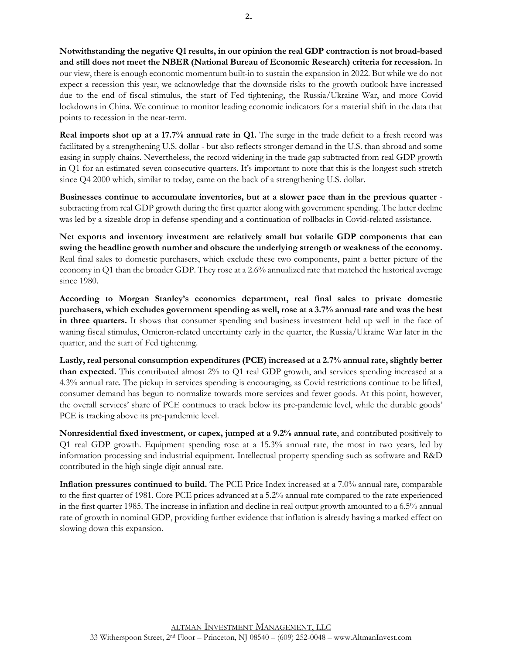**Notwithstanding the negative Q1 results, in our opinion the real GDP contraction is not broad-based and still does not meet the NBER (National Bureau of Economic Research) criteria for recession.** In our view, there is enough economic momentum built-in to sustain the expansion in 2022. But while we do not expect a recession this year, we acknowledge that the downside risks to the growth outlook have increased due to the end of fiscal stimulus, the start of Fed tightening, the Russia/Ukraine War, and more Covid lockdowns in China. We continue to monitor leading economic indicators for a material shift in the data that points to recession in the near-term.

**Real imports shot up at a 17.7% annual rate in Q1.** The surge in the trade deficit to a fresh record was facilitated by a strengthening U.S. dollar - but also reflects stronger demand in the U.S. than abroad and some easing in supply chains. Nevertheless, the record widening in the trade gap subtracted from real GDP growth in Q1 for an estimated seven consecutive quarters. It's important to note that this is the longest such stretch since Q4 2000 which, similar to today, came on the back of a strengthening U.S. dollar.

**Businesses continue to accumulate inventories, but at a slower pace than in the previous quarter** subtracting from real GDP growth during the first quarter along with government spending. The latter decline was led by a sizeable drop in defense spending and a continuation of rollbacks in Covid-related assistance.

**Net exports and inventory investment are relatively small but volatile GDP components that can swing the headline growth number and obscure the underlying strength or weakness of the economy.** Real final sales to domestic purchasers, which exclude these two components, paint a better picture of the economy in Q1 than the broader GDP. They rose at a 2.6% annualized rate that matched the historical average since 1980.

**According to Morgan Stanley's economics department, real final sales to private domestic purchasers, which excludes government spending as well, rose at a 3.7% annual rate and was the best in three quarters.** It shows that consumer spending and business investment held up well in the face of waning fiscal stimulus, Omicron-related uncertainty early in the quarter, the Russia/Ukraine War later in the quarter, and the start of Fed tightening.

**Lastly, real personal consumption expenditures (PCE) increased at a 2.7% annual rate, slightly better than expected.** This contributed almost 2% to Q1 real GDP growth, and services spending increased at a 4.3% annual rate. The pickup in services spending is encouraging, as Covid restrictions continue to be lifted, consumer demand has begun to normalize towards more services and fewer goods. At this point, however, the overall services' share of PCE continues to track below its pre-pandemic level, while the durable goods' PCE is tracking above its pre-pandemic level.

**Nonresidential fixed investment, or capex, jumped at a 9.2% annual rate**, and contributed positively to Q1 real GDP growth. Equipment spending rose at a 15.3% annual rate, the most in two years, led by information processing and industrial equipment. Intellectual property spending such as software and R&D contributed in the high single digit annual rate.

**Inflation pressures continued to build.** The PCE Price Index increased at a 7.0% annual rate, comparable to the first quarter of 1981. Core PCE prices advanced at a 5.2% annual rate compared to the rate experienced in the first quarter 1985. The increase in inflation and decline in real output growth amounted to a 6.5% annual rate of growth in nominal GDP, providing further evidence that inflation is already having a marked effect on slowing down this expansion.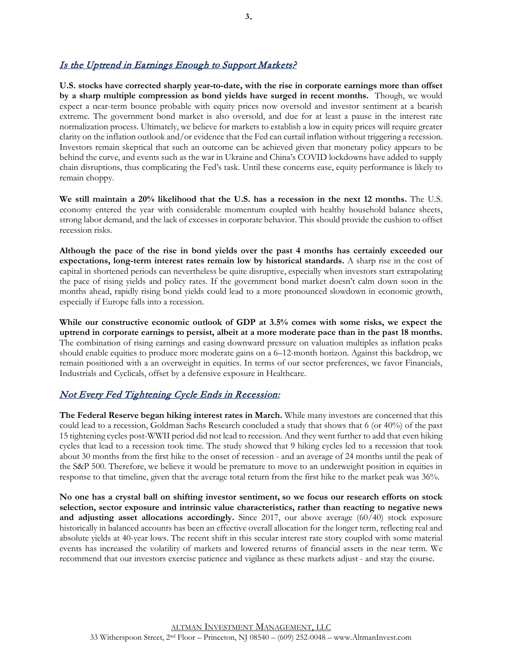## Is the Uptrend in Earnings Enough to Support Markets?

**U.S. stocks have corrected sharply year-to-date, with the rise in corporate earnings more than offset by a sharp multiple compression as bond yields have surged in recent months.** Though, we would expect a near-term bounce probable with equity prices now oversold and investor sentiment at a bearish extreme. The government bond market is also oversold, and due for at least a pause in the interest rate normalization process. Ultimately, we believe for markets to establish a low in equity prices will require greater clarity on the inflation outlook and/or evidence that the Fed can curtail inflation without triggering a recession. Investors remain skeptical that such an outcome can be achieved given that monetary policy appears to be behind the curve, and events such as the war in Ukraine and China's COVID lockdowns have added to supply chain disruptions, thus complicating the Fed's task. Until these concerns ease, equity performance is likely to remain choppy.

**We still maintain a 20% likelihood that the U.S. has a recession in the next 12 months.** The U.S. economy entered the year with considerable momentum coupled with healthy household balance sheets, strong labor demand, and the lack of excesses in corporate behavior. This should provide the cushion to offset recession risks.

**Although the pace of the rise in bond yields over the past 4 months has certainly exceeded our expectations, long-term interest rates remain low by historical standards.** A sharp rise in the cost of capital in shortened periods can nevertheless be quite disruptive, especially when investors start extrapolating the pace of rising yields and policy rates. If the government bond market doesn't calm down soon in the months ahead, rapidly rising bond yields could lead to a more pronounced slowdown in economic growth, especially if Europe falls into a recession.

**While our constructive economic outlook of GDP at 3.5% comes with some risks, we expect the uptrend in corporate earnings to persist, albeit at a more moderate pace than in the past 18 months.** The combination of rising earnings and easing downward pressure on valuation multiples as inflation peaks should enable equities to produce more moderate gains on a 6–12-month horizon. Against this backdrop, we remain positioned with a an overweight in equities. In terms of our sector preferences, we favor Financials, Industrials and Cyclicals, offset by a defensive exposure in Healthcare.

### Not Every Fed Tightening Cycle Ends in Recession:

**The Federal Reserve began hiking interest rates in March.** While many investors are concerned that this could lead to a recession, Goldman Sachs Research concluded a study that shows that 6 (or 40%) of the past 15 tightening cycles post-WWII period did not lead to recession. And they went further to add that even hiking cycles that lead to a recession took time. The study showed that 9 hiking cycles led to a recession that took about 30 months from the first hike to the onset of recession - and an average of 24 months until the peak of the S&P 500. Therefore, we believe it would be premature to move to an underweight position in equities in response to that timeline, given that the average total return from the first hike to the market peak was 36%.

**No one has a crystal ball on shifting investor sentiment, so we focus our research efforts on stock selection, sector exposure and intrinsic value characteristics, rather than reacting to negative news and adjusting asset allocations accordingly.** Since 2017, our above average (60/40) stock exposure historically in balanced accounts has been an effective overall allocation for the longer term, reflecting real and absolute yields at 40-year lows. The recent shift in this secular interest rate story coupled with some material events has increased the volatility of markets and lowered returns of financial assets in the near term. We recommend that our investors exercise patience and vigilance as these markets adjust - and stay the course.